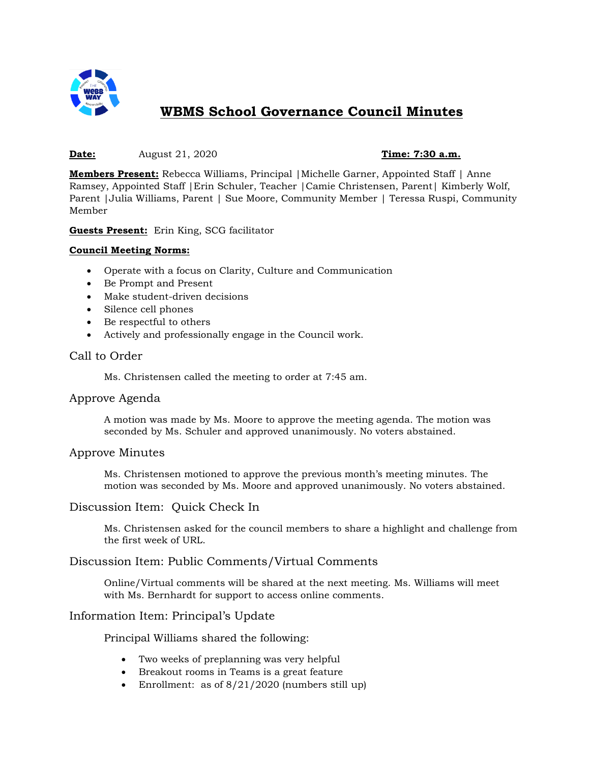

# **WBMS School Governance Council Minutes**

#### **Date:** August 21, 2020 **Time: 7:30 a.m.**

**Members Present:** Rebecca Williams, Principal |Michelle Garner, Appointed Staff | Anne Ramsey, Appointed Staff |Erin Schuler, Teacher |Camie Christensen, Parent| Kimberly Wolf, Parent |Julia Williams, Parent | Sue Moore, Community Member | Teressa Ruspi, Community Member

**Guests Present:** Erin King, SCG facilitator

#### **Council Meeting Norms:**

- Operate with a focus on Clarity, Culture and Communication
- Be Prompt and Present
- Make student-driven decisions
- Silence cell phones
- Be respectful to others
- Actively and professionally engage in the Council work.

# Call to Order

Ms. Christensen called the meeting to order at 7:45 am.

## Approve Agenda

A motion was made by Ms. Moore to approve the meeting agenda. The motion was seconded by Ms. Schuler and approved unanimously. No voters abstained.

## Approve Minutes

Ms. Christensen motioned to approve the previous month's meeting minutes. The motion was seconded by Ms. Moore and approved unanimously. No voters abstained.

## Discussion Item: Quick Check In

Ms. Christensen asked for the council members to share a highlight and challenge from the first week of URL.

## Discussion Item: Public Comments/Virtual Comments

Online/Virtual comments will be shared at the next meeting. Ms. Williams will meet with Ms. Bernhardt for support to access online comments.

## Information Item: Principal's Update

Principal Williams shared the following:

- Two weeks of preplanning was very helpful
- Breakout rooms in Teams is a great feature
- Enrollment: as of  $8/21/2020$  (numbers still up)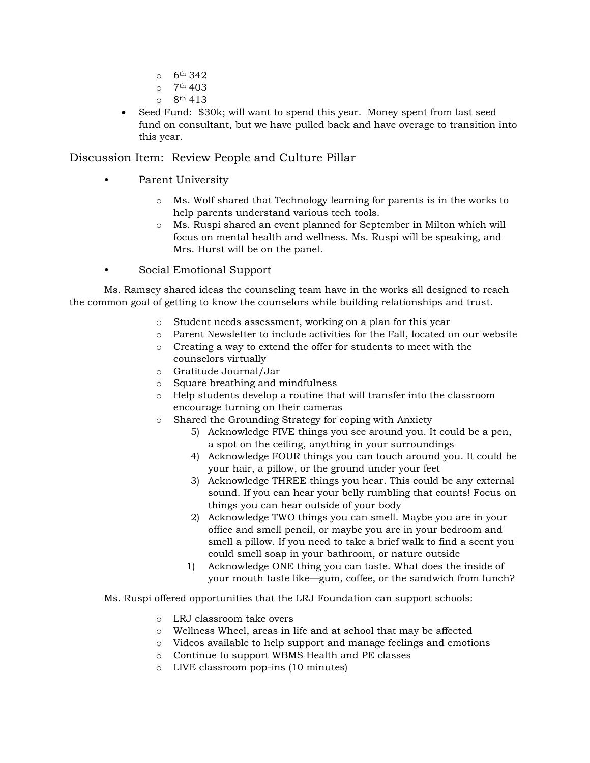- o 6th 342
- $O$  7<sup>th</sup> 403
- $0^{6}$  8<sup>th</sup> 413
- Seed Fund: \$30k; will want to spend this year. Money spent from last seed fund on consultant, but we have pulled back and have overage to transition into this year.

Discussion Item: Review People and Culture Pillar

- Parent University
	- o Ms. Wolf shared that Technology learning for parents is in the works to help parents understand various tech tools.
	- o Ms. Ruspi shared an event planned for September in Milton which will focus on mental health and wellness. Ms. Ruspi will be speaking, and Mrs. Hurst will be on the panel.
- Social Emotional Support

Ms. Ramsey shared ideas the counseling team have in the works all designed to reach the common goal of getting to know the counselors while building relationships and trust.

- o Student needs assessment, working on a plan for this year
- o Parent Newsletter to include activities for the Fall, located on our website
- o Creating a way to extend the offer for students to meet with the counselors virtually
- o Gratitude Journal/Jar
- o Square breathing and mindfulness
- o Help students develop a routine that will transfer into the classroom encourage turning on their cameras
- o Shared the Grounding Strategy for coping with Anxiety
	- 5) Acknowledge FIVE things you see around you. It could be a pen, a spot on the ceiling, anything in your surroundings
	- 4) Acknowledge FOUR things you can touch around you. It could be your hair, a pillow, or the ground under your feet
	- 3) Acknowledge THREE things you hear. This could be any external sound. If you can hear your belly rumbling that counts! Focus on things you can hear outside of your body
	- 2) Acknowledge TWO things you can smell. Maybe you are in your office and smell pencil, or maybe you are in your bedroom and smell a pillow. If you need to take a brief walk to find a scent you could smell soap in your bathroom, or nature outside
	- 1) Acknowledge ONE thing you can taste. What does the inside of your mouth taste like—gum, coffee, or the sandwich from lunch?
- Ms. Ruspi offered opportunities that the LRJ Foundation can support schools:
	- o LRJ classroom take overs
	- o Wellness Wheel, areas in life and at school that may be affected
	- o Videos available to help support and manage feelings and emotions
	- o Continue to support WBMS Health and PE classes
	- o LIVE classroom pop-ins (10 minutes)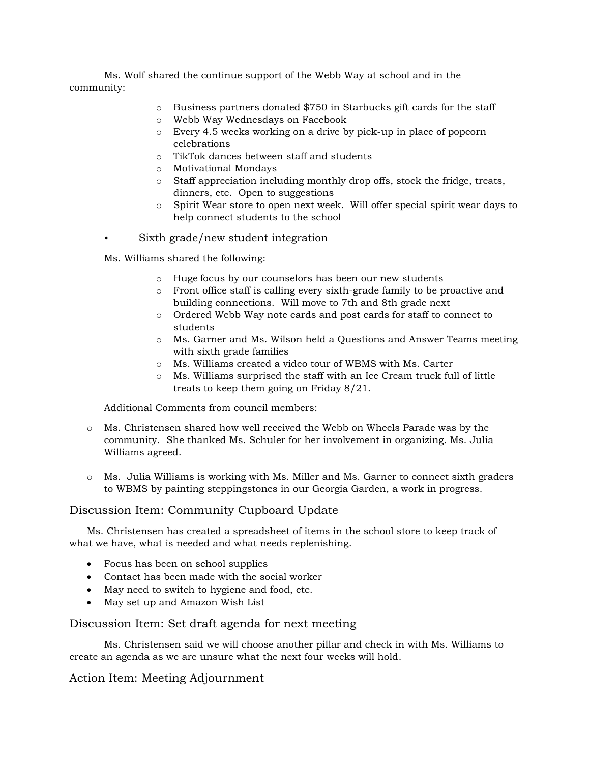Ms. Wolf shared the continue support of the Webb Way at school and in the community:

- $\circ$  Business partners donated \$750 in Starbucks gift cards for the staff
- o Webb Way Wednesdays on Facebook
- o Every 4.5 weeks working on a drive by pick-up in place of popcorn celebrations
- o TikTok dances between staff and students
- o Motivational Mondays
- o Staff appreciation including monthly drop offs, stock the fridge, treats, dinners, etc. Open to suggestions
- o Spirit Wear store to open next week. Will offer special spirit wear days to help connect students to the school
- Sixth grade/new student integration

Ms. Williams shared the following:

- o Huge focus by our counselors has been our new students
- o Front office staff is calling every sixth-grade family to be proactive and building connections. Will move to 7th and 8th grade next
- o Ordered Webb Way note cards and post cards for staff to connect to students
- o Ms. Garner and Ms. Wilson held a Questions and Answer Teams meeting with sixth grade families
- o Ms. Williams created a video tour of WBMS with Ms. Carter
- o Ms. Williams surprised the staff with an Ice Cream truck full of little treats to keep them going on Friday 8/21.

Additional Comments from council members:

- o Ms. Christensen shared how well received the Webb on Wheels Parade was by the community. She thanked Ms. Schuler for her involvement in organizing. Ms. Julia Williams agreed.
- o Ms. Julia Williams is working with Ms. Miller and Ms. Garner to connect sixth graders to WBMS by painting steppingstones in our Georgia Garden, a work in progress.

## Discussion Item: Community Cupboard Update

Ms. Christensen has created a spreadsheet of items in the school store to keep track of what we have, what is needed and what needs replenishing.

- Focus has been on school supplies
- Contact has been made with the social worker
- May need to switch to hygiene and food, etc.
- May set up and Amazon Wish List

## Discussion Item: Set draft agenda for next meeting

Ms. Christensen said we will choose another pillar and check in with Ms. Williams to create an agenda as we are unsure what the next four weeks will hold.

## Action Item: Meeting Adjournment